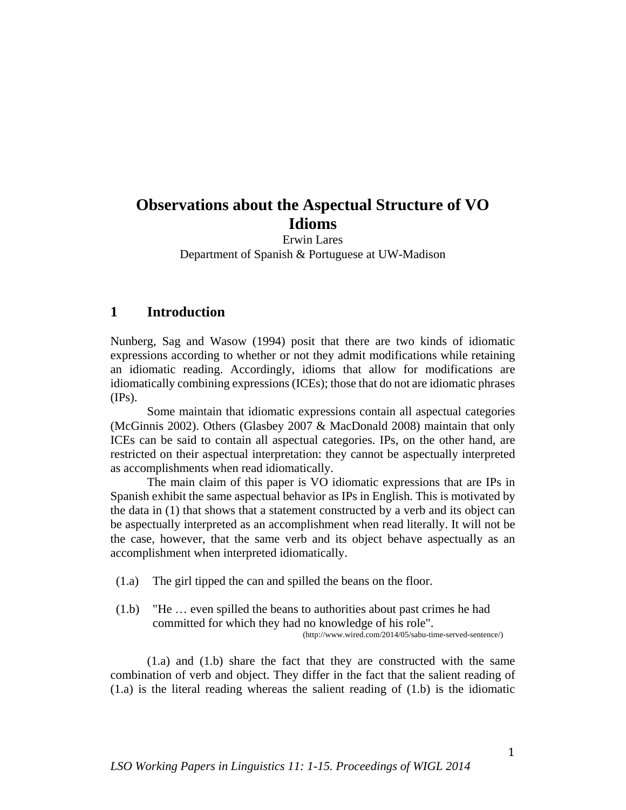# **Observations about the Aspectual Structure of VO Idioms**

Erwin Lares Department of Spanish & Portuguese at UW-Madison

# **1 Introduction**

Nunberg, Sag and Wasow (1994) posit that there are two kinds of idiomatic expressions according to whether or not they admit modifications while retaining an idiomatic reading. Accordingly, idioms that allow for modifications are idiomatically combining expressions (ICEs); those that do not are idiomatic phrases  $(\text{IPs})$ .

Some maintain that idiomatic expressions contain all aspectual categories (McGinnis 2002). Others (Glasbey 2007 & MacDonald 2008) maintain that only ICEs can be said to contain all aspectual categories. IPs, on the other hand, are restricted on their aspectual interpretation: they cannot be aspectually interpreted as accomplishments when read idiomatically.

The main claim of this paper is VO idiomatic expressions that are IPs in Spanish exhibit the same aspectual behavior as IPs in English. This is motivated by the data in (1) that shows that a statement constructed by a verb and its object can be aspectually interpreted as an accomplishment when read literally. It will not be the case, however, that the same verb and its object behave aspectually as an accomplishment when interpreted idiomatically.

(1.a) The girl tipped the can and spilled the beans on the floor.

(1.b) "He … even spilled the beans to authorities about past crimes he had committed for which they had no knowledge of his role".

(http://www.wired.com/2014/05/sabu-time-served-sentence/)

(1.a) and (1.b) share the fact that they are constructed with the same combination of verb and object. They differ in the fact that the salient reading of  $(1.a)$  is the literal reading whereas the salient reading of  $(1.b)$  is the idiomatic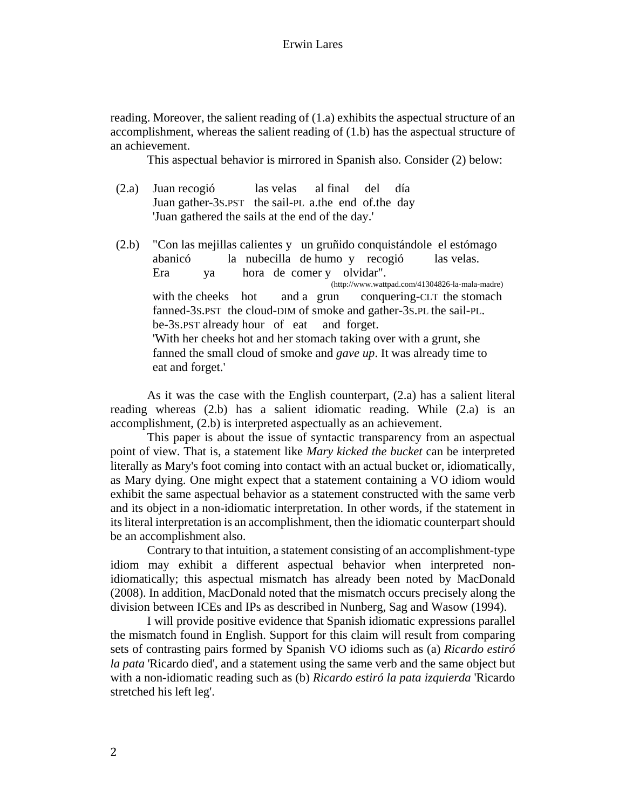## Erwin Lares

reading. Moreover, the salient reading of (1.a) exhibits the aspectual structure of an accomplishment, whereas the salient reading of (1.b) has the aspectual structure of an achievement.

This aspectual behavior is mirrored in Spanish also. Consider (2) below:

- (2.a) Juan recogió las velas al final del día Juan gather-3S.PST the sail-PL a.the end of.the day 'Juan gathered the sails at the end of the day.'
- (2.b) "Con las mejillas calientes y un gruñido conquistándole el estómago abanicó la nubecilla de humo y recogió las velas. Era ya hora de comer y olvidar". (http://www.wattpad.com/41304826-la-mala-madre) with the cheeks hot and a grun conquering-CLT the stomach fanned-3S.PST the cloud-DIM of smoke and gather-3S.PL the sail-PL. be-3S.PST already hour of eat and forget. 'With her cheeks hot and her stomach taking over with a grunt, she fanned the small cloud of smoke and *gave up*. It was already time to eat and forget.'

As it was the case with the English counterpart, (2.a) has a salient literal reading whereas (2.b) has a salient idiomatic reading. While (2.a) is an accomplishment, (2.b) is interpreted aspectually as an achievement.

This paper is about the issue of syntactic transparency from an aspectual point of view. That is, a statement like *Mary kicked the bucket* can be interpreted literally as Mary's foot coming into contact with an actual bucket or, idiomatically, as Mary dying. One might expect that a statement containing a VO idiom would exhibit the same aspectual behavior as a statement constructed with the same verb and its object in a non-idiomatic interpretation. In other words, if the statement in its literal interpretation is an accomplishment, then the idiomatic counterpart should be an accomplishment also.

Contrary to that intuition, a statement consisting of an accomplishment-type idiom may exhibit a different aspectual behavior when interpreted nonidiomatically; this aspectual mismatch has already been noted by MacDonald (2008). In addition, MacDonald noted that the mismatch occurs precisely along the division between ICEs and IPs as described in Nunberg, Sag and Wasow (1994).

I will provide positive evidence that Spanish idiomatic expressions parallel the mismatch found in English. Support for this claim will result from comparing sets of contrasting pairs formed by Spanish VO idioms such as (a) *Ricardo estiró la pata* 'Ricardo died', and a statement using the same verb and the same object but with a non-idiomatic reading such as (b) *Ricardo estiró la pata izquierda* 'Ricardo stretched his left leg'.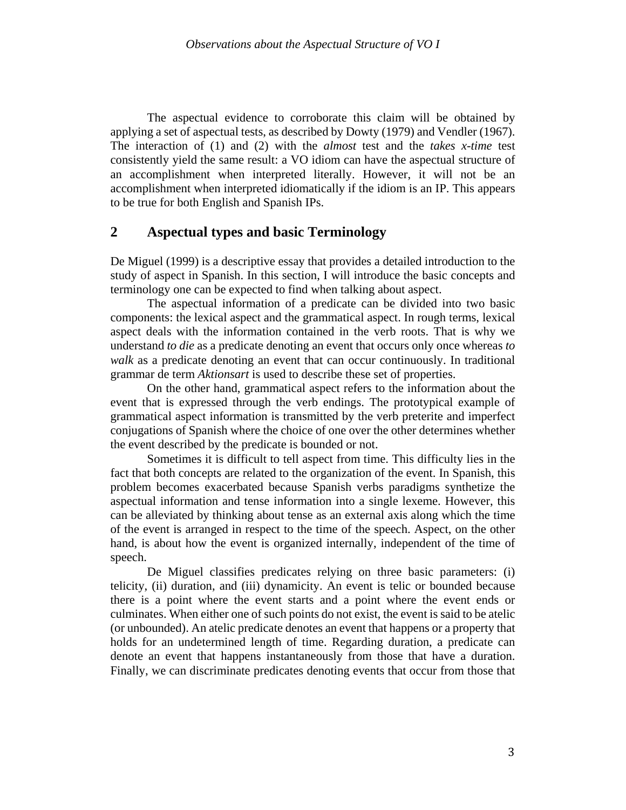The aspectual evidence to corroborate this claim will be obtained by applying a set of aspectual tests, as described by Dowty (1979) and Vendler (1967). The interaction of (1) and (2) with the *almost* test and the *takes x-time* test consistently yield the same result: a VO idiom can have the aspectual structure of an accomplishment when interpreted literally. However, it will not be an accomplishment when interpreted idiomatically if the idiom is an IP. This appears to be true for both English and Spanish IPs.

# **2 Aspectual types and basic Terminology**

De Miguel (1999) is a descriptive essay that provides a detailed introduction to the study of aspect in Spanish. In this section, I will introduce the basic concepts and terminology one can be expected to find when talking about aspect.

The aspectual information of a predicate can be divided into two basic components: the lexical aspect and the grammatical aspect. In rough terms, lexical aspect deals with the information contained in the verb roots. That is why we understand *to die* as a predicate denoting an event that occurs only once whereas *to walk* as a predicate denoting an event that can occur continuously. In traditional grammar de term *Aktionsart* is used to describe these set of properties.

On the other hand, grammatical aspect refers to the information about the event that is expressed through the verb endings. The prototypical example of grammatical aspect information is transmitted by the verb preterite and imperfect conjugations of Spanish where the choice of one over the other determines whether the event described by the predicate is bounded or not.

Sometimes it is difficult to tell aspect from time. This difficulty lies in the fact that both concepts are related to the organization of the event. In Spanish, this problem becomes exacerbated because Spanish verbs paradigms synthetize the aspectual information and tense information into a single lexeme. However, this can be alleviated by thinking about tense as an external axis along which the time of the event is arranged in respect to the time of the speech. Aspect, on the other hand, is about how the event is organized internally, independent of the time of speech.

De Miguel classifies predicates relying on three basic parameters: (i) telicity, (ii) duration, and (iii) dynamicity. An event is telic or bounded because there is a point where the event starts and a point where the event ends or culminates. When either one of such points do not exist, the event is said to be atelic (or unbounded). An atelic predicate denotes an event that happens or a property that holds for an undetermined length of time. Regarding duration, a predicate can denote an event that happens instantaneously from those that have a duration. Finally, we can discriminate predicates denoting events that occur from those that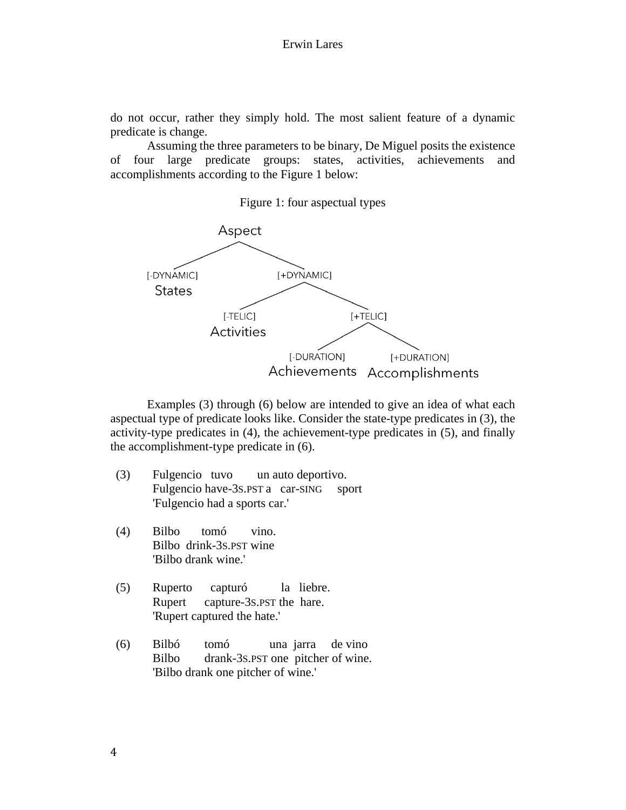do not occur, rather they simply hold. The most salient feature of a dynamic predicate is change.

Assuming the three parameters to be binary, De Miguel posits the existence of four large predicate groups: states, activities, achievements and accomplishments according to the Figure 1 below:

#### Figure 1: four aspectual types



Examples (3) through (6) below are intended to give an idea of what each aspectual type of predicate looks like. Consider the state-type predicates in (3), the activity-type predicates in (4), the achievement-type predicates in (5), and finally the accomplishment-type predicate in (6).

- (3) Fulgencio tuvo un auto deportivo. Fulgencio have-3s.PST a car-SING sport 'Fulgencio had a sports car.'
- (4) Bilbo tomó vino. Bilbo drink-3S.PST wine 'Bilbo drank wine.'
- (5) Ruperto capturó la liebre. Rupert capture-3S.PST the hare. 'Rupert captured the hate.'
- (6) Bilbó tomó una jarra de vino Bilbo drank-3S.PST one pitcher of wine. 'Bilbo drank one pitcher of wine.'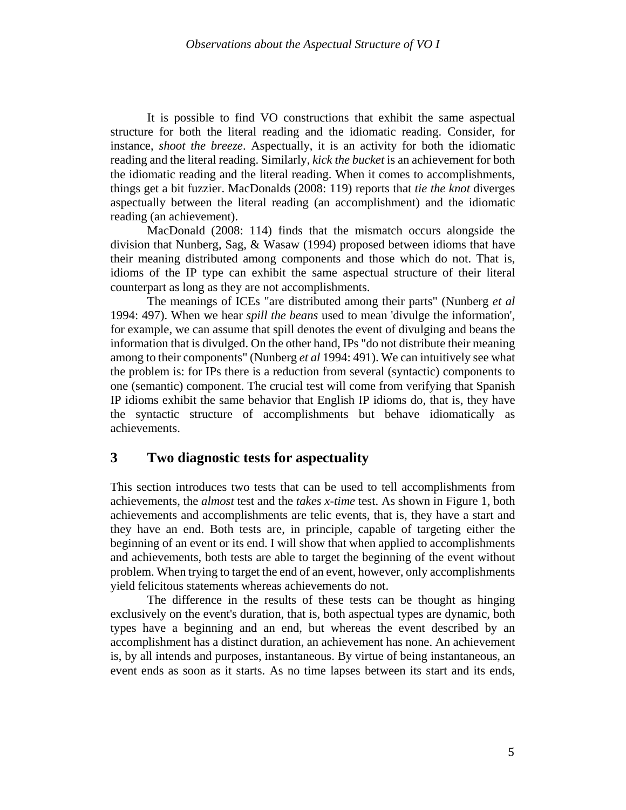It is possible to find VO constructions that exhibit the same aspectual structure for both the literal reading and the idiomatic reading. Consider, for instance, *shoot the breeze*. Aspectually, it is an activity for both the idiomatic reading and the literal reading. Similarly, *kick the bucket* is an achievement for both the idiomatic reading and the literal reading. When it comes to accomplishments, things get a bit fuzzier. MacDonalds (2008: 119) reports that *tie the knot* diverges aspectually between the literal reading (an accomplishment) and the idiomatic reading (an achievement).

MacDonald (2008: 114) finds that the mismatch occurs alongside the division that Nunberg, Sag, & Wasaw (1994) proposed between idioms that have their meaning distributed among components and those which do not. That is, idioms of the IP type can exhibit the same aspectual structure of their literal counterpart as long as they are not accomplishments.

The meanings of ICEs "are distributed among their parts" (Nunberg *et al*  1994: 497). When we hear *spill the beans* used to mean 'divulge the information', for example, we can assume that spill denotes the event of divulging and beans the information that is divulged. On the other hand, IPs "do not distribute their meaning among to their components" (Nunberg *et al* 1994: 491). We can intuitively see what the problem is: for IPs there is a reduction from several (syntactic) components to one (semantic) component. The crucial test will come from verifying that Spanish IP idioms exhibit the same behavior that English IP idioms do, that is, they have the syntactic structure of accomplishments but behave idiomatically as achievements.

# **3 Two diagnostic tests for aspectuality**

This section introduces two tests that can be used to tell accomplishments from achievements, the *almost* test and the *takes x-time* test. As shown in Figure 1, both achievements and accomplishments are telic events, that is, they have a start and they have an end. Both tests are, in principle, capable of targeting either the beginning of an event or its end. I will show that when applied to accomplishments and achievements, both tests are able to target the beginning of the event without problem. When trying to target the end of an event, however, only accomplishments yield felicitous statements whereas achievements do not.

The difference in the results of these tests can be thought as hinging exclusively on the event's duration, that is, both aspectual types are dynamic, both types have a beginning and an end, but whereas the event described by an accomplishment has a distinct duration, an achievement has none. An achievement is, by all intends and purposes, instantaneous. By virtue of being instantaneous, an event ends as soon as it starts. As no time lapses between its start and its ends,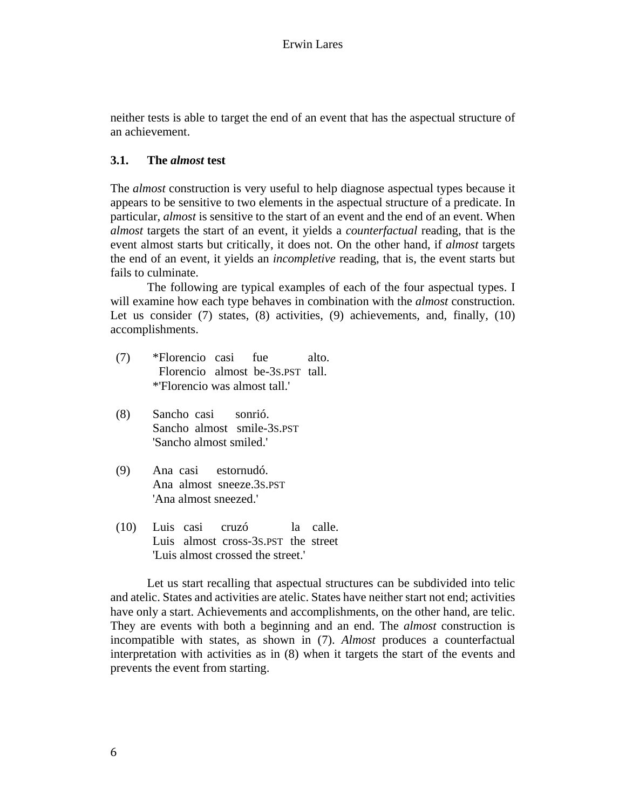neither tests is able to target the end of an event that has the aspectual structure of an achievement.

## **3.1. The** *almost* **test**

The *almost* construction is very useful to help diagnose aspectual types because it appears to be sensitive to two elements in the aspectual structure of a predicate. In particular, *almost* is sensitive to the start of an event and the end of an event. When *almost* targets the start of an event, it yields a *counterfactual* reading, that is the event almost starts but critically, it does not. On the other hand, if *almost* targets the end of an event, it yields an *incompletive* reading, that is, the event starts but fails to culminate.

The following are typical examples of each of the four aspectual types. I will examine how each type behaves in combination with the *almost* construction. Let us consider (7) states, (8) activities, (9) achievements, and, finally, (10) accomplishments.

- (7) \*Florencio casi fue alto. Florencio almost be-3S.PST tall. \*'Florencio was almost tall.'
- (8) Sancho casi sonrió. Sancho almost smile-3S.PST 'Sancho almost smiled.'
- (9) Ana casi estornudó. Ana almost sneeze.3S.PST 'Ana almost sneezed.'
- (10) Luis casi cruzó la calle. Luis almost cross-3S.PST the street 'Luis almost crossed the street.'

Let us start recalling that aspectual structures can be subdivided into telic and atelic. States and activities are atelic. States have neither start not end; activities have only a start. Achievements and accomplishments, on the other hand, are telic. They are events with both a beginning and an end. The *almost* construction is incompatible with states, as shown in (7). *Almost* produces a counterfactual interpretation with activities as in (8) when it targets the start of the events and prevents the event from starting.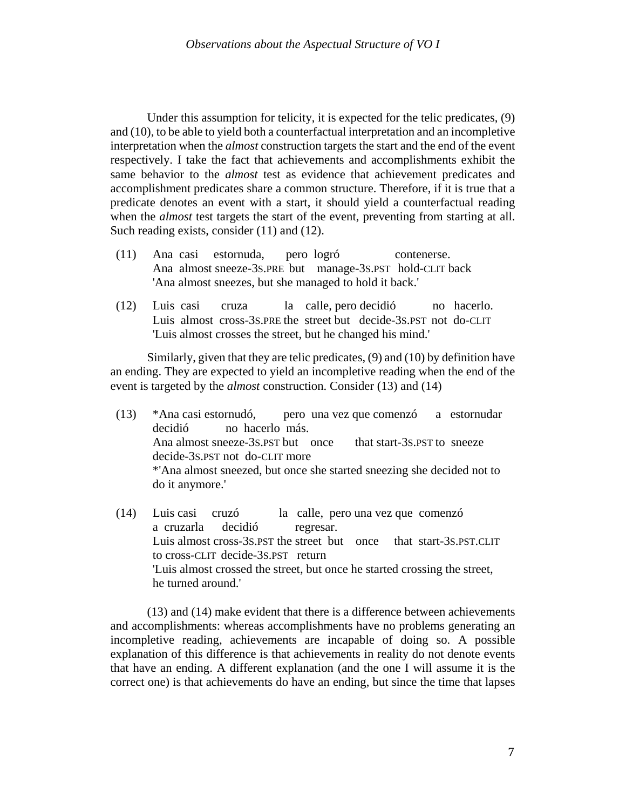Under this assumption for telicity, it is expected for the telic predicates, (9) and (10), to be able to yield both a counterfactual interpretation and an incompletive interpretation when the *almost* construction targets the start and the end of the event respectively. I take the fact that achievements and accomplishments exhibit the same behavior to the *almost* test as evidence that achievement predicates and accomplishment predicates share a common structure. Therefore, if it is true that a predicate denotes an event with a start, it should yield a counterfactual reading when the *almost* test targets the start of the event, preventing from starting at all. Such reading exists, consider (11) and (12).

- (11) Ana casi estornuda, pero logró contenerse. Ana almost sneeze-3S.PRE but manage-3S.PST hold-CLIT back 'Ana almost sneezes, but she managed to hold it back.'
- (12) Luis casi cruza la calle, pero decidió no hacerlo. Luis almost cross-3S.PRE the street but decide-3S.PST not do-CLIT 'Luis almost crosses the street, but he changed his mind.'

Similarly, given that they are telic predicates, (9) and (10) by definition have an ending. They are expected to yield an incompletive reading when the end of the event is targeted by the *almost* construction. Consider (13) and (14)

- (13) \*Ana casi estornudó, pero una vez que comenzó a estornudar decidió no hacerlo más. Ana almost sneeze-3s.PST but once that start-3s.PST to sneeze decide-3S.PST not do-CLIT more \*'Ana almost sneezed, but once she started sneezing she decided not to do it anymore.'
- (14) Luis casi cruzó la calle, pero una vez que comenzó a cruzarla decidió regresar. Luis almost cross-3S.PST the street but once that start-3S.PST.CLIT to cross-CLIT decide-3S.PST return 'Luis almost crossed the street, but once he started crossing the street, he turned around.'

(13) and (14) make evident that there is a difference between achievements and accomplishments: whereas accomplishments have no problems generating an incompletive reading, achievements are incapable of doing so. A possible explanation of this difference is that achievements in reality do not denote events that have an ending. A different explanation (and the one I will assume it is the correct one) is that achievements do have an ending, but since the time that lapses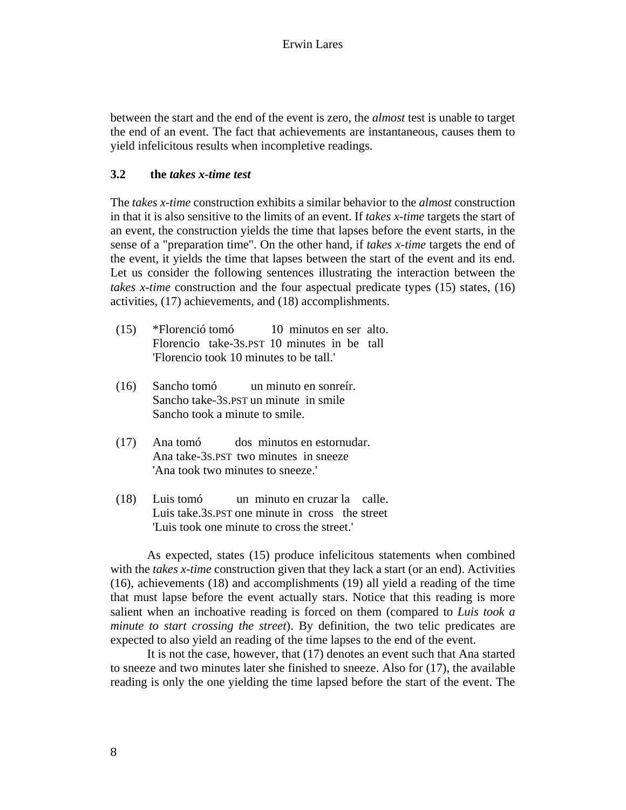between the start and the end of the event is zero, the *almost* test is unable to target the end of an event. The fact that achievements are instantaneous, causes them to yield infelicitous results when incompletive readings.

## **3.2 the** *takes x-time test*

The *takes x-time* construction exhibits a similar behavior to the *almost* construction in that it is also sensitive to the limits of an event. If *takes x-time* targets the start of an event, the construction yields the time that lapses before the event starts, in the sense of a "preparation time". On the other hand, if *takes x-time* targets the end of the event, it yields the time that lapses between the start of the event and its end. Let us consider the following sentences illustrating the interaction between the *takes x-time* construction and the four aspectual predicate types (15) states, (16) activities, (17) achievements, and (18) accomplishments.

- (15) \*Florenció tomó 10 minutos en ser alto. Florencio take-3S.PST 10 minutes in be tall 'Florencio took 10 minutes to be tall.'
- (16) Sancho tomó un minuto en sonreír. Sancho take-3S.PST un minute in smile Sancho took a minute to smile.
- (17) Ana tomó dos minutos en estornudar. Ana take-3S.PST two minutes in sneeze 'Ana took two minutes to sneeze.'
- (18) Luis tomó un minuto en cruzar la calle. Luis take.3S.PST one minute in cross the street 'Luis took one minute to cross the street.'

As expected, states (15) produce infelicitous statements when combined with the *takes x-time* construction given that they lack a start (or an end). Activities (16), achievements (18) and accomplishments (19) all yield a reading of the time that must lapse before the event actually stars. Notice that this reading is more salient when an inchoative reading is forced on them (compared to *Luis took a minute to start crossing the street*). By definition, the two telic predicates are expected to also yield an reading of the time lapses to the end of the event.

It is not the case, however, that (17) denotes an event such that Ana started to sneeze and two minutes later she finished to sneeze. Also for (17), the available reading is only the one yielding the time lapsed before the start of the event. The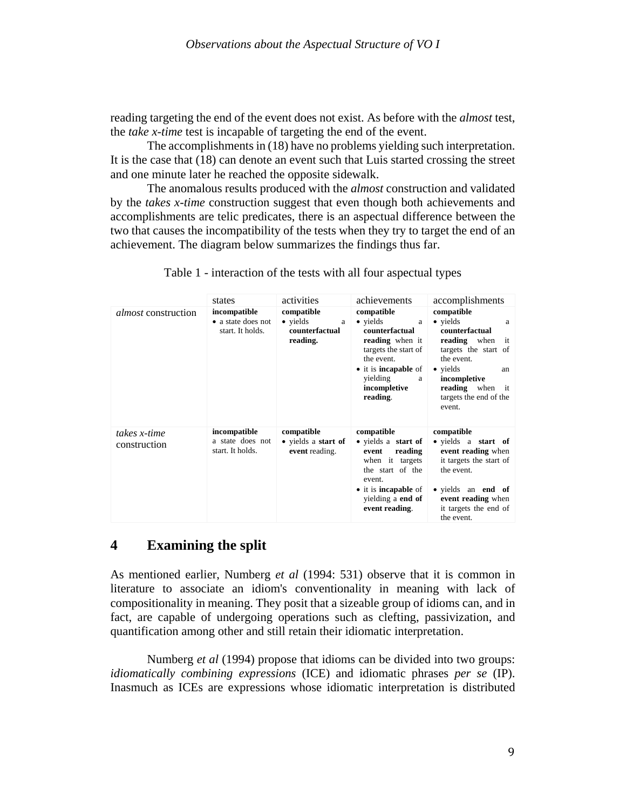reading targeting the end of the event does not exist. As before with the *almost* test, the *take x-time* test is incapable of targeting the end of the event.

The accomplishments in (18) have no problems yielding such interpretation. It is the case that (18) can denote an event such that Luis started crossing the street and one minute later he reached the opposite sidewalk.

The anomalous results produced with the *almost* construction and validated by the *takes x-time* construction suggest that even though both achievements and accomplishments are telic predicates, there is an aspectual difference between the two that causes the incompatibility of the tests when they try to target the end of an achievement. The diagram below summarizes the findings thus far.

|                              | states                                                 | activities                                                | achievements                                                                                                                                                                               | accomplishments                                                                                                                                                                                                          |
|------------------------------|--------------------------------------------------------|-----------------------------------------------------------|--------------------------------------------------------------------------------------------------------------------------------------------------------------------------------------------|--------------------------------------------------------------------------------------------------------------------------------------------------------------------------------------------------------------------------|
| <i>almost</i> construction   | incompatible<br>• a state does not<br>start. It holds. | compatible<br>• yields<br>a<br>counterfactual<br>reading. | compatible<br>$\bullet$ yields<br>a<br>counterfactual<br>reading when it<br>targets the start of<br>the event.<br>• it is <b>incapable</b> of<br>yielding<br>a<br>incompletive<br>reading. | compatible<br>$\bullet$ yields<br>a<br>counterfactual<br><b>reading</b> when<br>it<br>targets the start of<br>the event.<br>• yields<br>an<br>incompletive<br><b>reading</b> when it<br>targets the end of the<br>event. |
| takes x-time<br>construction | incompatible<br>a state does not<br>start. It holds.   | compatible<br>• yields a start of<br>event reading.       | compatible<br>• yields a start of<br>reading<br>event<br>when it targets<br>the start of the<br>event.<br>• it is <b>incapable</b> of<br>yielding a end of<br>event reading.               | compatible<br>• yields a start of<br>event reading when<br>it targets the start of<br>the event.<br>• yields an <b>end</b> of<br>event reading when<br>it targets the end of<br>the event.                               |

Table 1 - interaction of the tests with all four aspectual types

## **4 Examining the split**

As mentioned earlier, Numberg *et al* (1994: 531) observe that it is common in literature to associate an idiom's conventionality in meaning with lack of compositionality in meaning. They posit that a sizeable group of idioms can, and in fact, are capable of undergoing operations such as clefting, passivization, and quantification among other and still retain their idiomatic interpretation.

Numberg *et al* (1994) propose that idioms can be divided into two groups: *idiomatically combining expressions* (ICE) and idiomatic phrases *per se* (IP). Inasmuch as ICEs are expressions whose idiomatic interpretation is distributed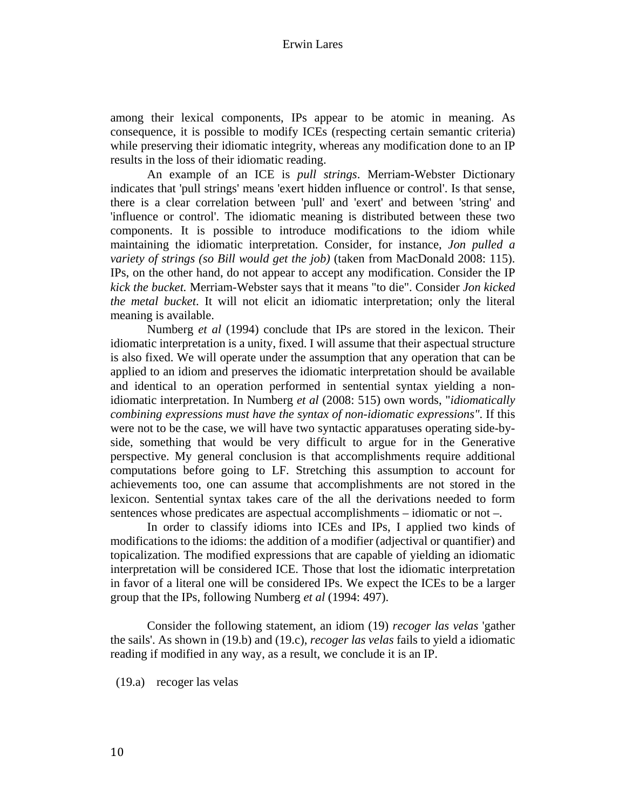among their lexical components, IPs appear to be atomic in meaning. As consequence, it is possible to modify ICEs (respecting certain semantic criteria) while preserving their idiomatic integrity, whereas any modification done to an IP results in the loss of their idiomatic reading.

An example of an ICE is *pull strings*. Merriam-Webster Dictionary indicates that 'pull strings' means 'exert hidden influence or control'. Is that sense, there is a clear correlation between 'pull' and 'exert' and between 'string' and 'influence or control'. The idiomatic meaning is distributed between these two components. It is possible to introduce modifications to the idiom while maintaining the idiomatic interpretation. Consider, for instance, *Jon pulled a variety of strings (so Bill would get the job)* (taken from MacDonald 2008: 115). IPs, on the other hand, do not appear to accept any modification. Consider the IP *kick the bucket.* Merriam-Webster says that it means "to die". Consider *Jon kicked the metal bucket*. It will not elicit an idiomatic interpretation; only the literal meaning is available.

Numberg *et al* (1994) conclude that IPs are stored in the lexicon. Their idiomatic interpretation is a unity, fixed. I will assume that their aspectual structure is also fixed. We will operate under the assumption that any operation that can be applied to an idiom and preserves the idiomatic interpretation should be available and identical to an operation performed in sentential syntax yielding a nonidiomatic interpretation. In Numberg *et al* (2008: 515) own words, "*idiomatically combining expressions must have the syntax of non-idiomatic expressions"*. If this were not to be the case, we will have two syntactic apparatuses operating side-byside, something that would be very difficult to argue for in the Generative perspective. My general conclusion is that accomplishments require additional computations before going to LF. Stretching this assumption to account for achievements too, one can assume that accomplishments are not stored in the lexicon. Sentential syntax takes care of the all the derivations needed to form sentences whose predicates are aspectual accomplishments – idiomatic or not –.

In order to classify idioms into ICEs and IPs, I applied two kinds of modifications to the idioms: the addition of a modifier (adjectival or quantifier) and topicalization. The modified expressions that are capable of yielding an idiomatic interpretation will be considered ICE. Those that lost the idiomatic interpretation in favor of a literal one will be considered IPs. We expect the ICEs to be a larger group that the IPs, following Numberg *et al* (1994: 497).

Consider the following statement, an idiom (19) *recoger las velas* 'gather the sails'. As shown in (19.b) and (19.c), *recoger las velas* fails to yield a idiomatic reading if modified in any way, as a result, we conclude it is an IP.

(19.a) recoger las velas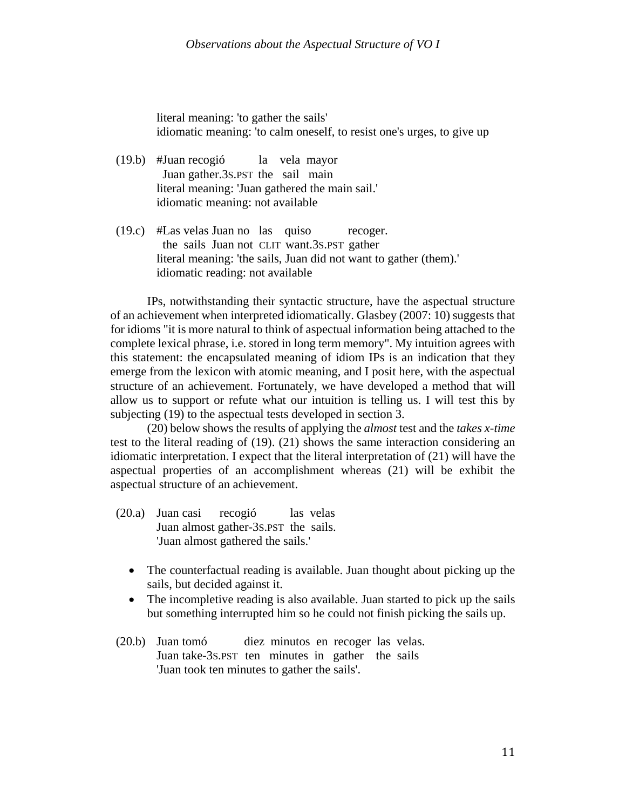literal meaning: 'to gather the sails' idiomatic meaning: 'to calm oneself, to resist one's urges, to give up

- (19.b) #Juan recogió la vela mayor Juan gather.3S.PST the sail main literal meaning: 'Juan gathered the main sail.' idiomatic meaning: not available
- (19.c) #Las velas Juan no las quiso recoger. the sails Juan not CLIT want.3S.PST gather literal meaning: 'the sails, Juan did not want to gather (them).' idiomatic reading: not available

IPs, notwithstanding their syntactic structure, have the aspectual structure of an achievement when interpreted idiomatically. Glasbey (2007: 10) suggests that for idioms "it is more natural to think of aspectual information being attached to the complete lexical phrase, i.e. stored in long term memory". My intuition agrees with this statement: the encapsulated meaning of idiom IPs is an indication that they emerge from the lexicon with atomic meaning, and I posit here, with the aspectual structure of an achievement. Fortunately, we have developed a method that will allow us to support or refute what our intuition is telling us. I will test this by subjecting (19) to the aspectual tests developed in section 3.

(20) below shows the results of applying the *almost* test and the *takes x-time* test to the literal reading of (19). (21) shows the same interaction considering an idiomatic interpretation. I expect that the literal interpretation of (21) will have the aspectual properties of an accomplishment whereas (21) will be exhibit the aspectual structure of an achievement.

- (20.a) Juan casi recogió las velas Juan almost gather-3S.PST the sails. 'Juan almost gathered the sails.'
	- The counterfactual reading is available. Juan thought about picking up the sails, but decided against it.
	- The incompletive reading is also available. Juan started to pick up the sails but something interrupted him so he could not finish picking the sails up.
- (20.b) Juan tomó diez minutos en recoger las velas. Juan take-3S.PST ten minutes in gather the sails 'Juan took ten minutes to gather the sails'.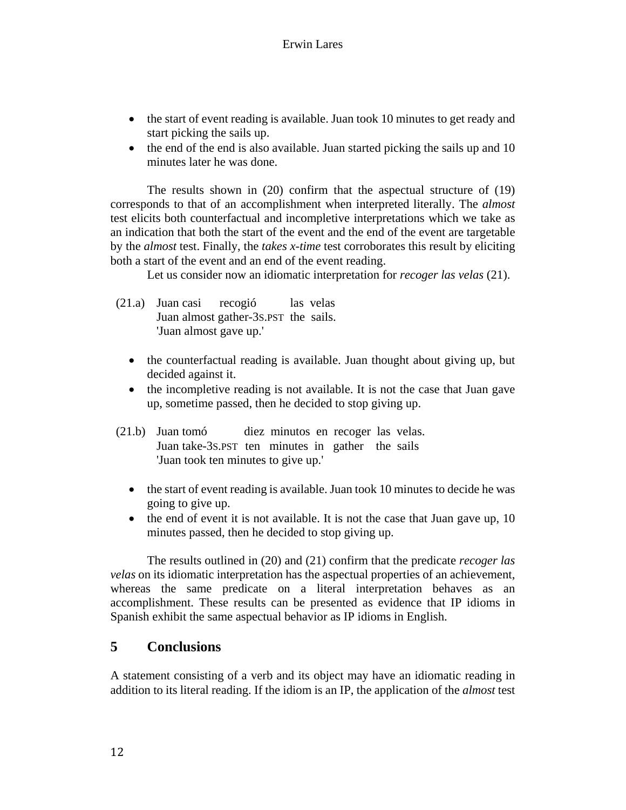- the start of event reading is available. Juan took 10 minutes to get ready and start picking the sails up.
- the end of the end is also available. Juan started picking the sails up and 10 minutes later he was done.

The results shown in (20) confirm that the aspectual structure of (19) corresponds to that of an accomplishment when interpreted literally. The *almost*  test elicits both counterfactual and incompletive interpretations which we take as an indication that both the start of the event and the end of the event are targetable by the *almost* test. Finally, the *takes x-time* test corroborates this result by eliciting both a start of the event and an end of the event reading.

Let us consider now an idiomatic interpretation for *recoger las velas* (21).

- (21.a) Juan casi recogió las velas Juan almost gather-3S.PST the sails. 'Juan almost gave up.'
	- the counterfactual reading is available. Juan thought about giving up, but decided against it.
	- the incompletive reading is not available. It is not the case that Juan gave up, sometime passed, then he decided to stop giving up.
- (21.b) Juan tomó diez minutos en recoger las velas. Juan take-3S.PST ten minutes in gather the sails 'Juan took ten minutes to give up.'
	- the start of event reading is available. Juan took 10 minutes to decide he was going to give up.
	- the end of event it is not available. It is not the case that Juan gave up, 10 minutes passed, then he decided to stop giving up.

The results outlined in (20) and (21) confirm that the predicate *recoger las velas* on its idiomatic interpretation has the aspectual properties of an achievement, whereas the same predicate on a literal interpretation behaves as an accomplishment. These results can be presented as evidence that IP idioms in Spanish exhibit the same aspectual behavior as IP idioms in English.

# **5 Conclusions**

A statement consisting of a verb and its object may have an idiomatic reading in addition to its literal reading. If the idiom is an IP, the application of the *almost* test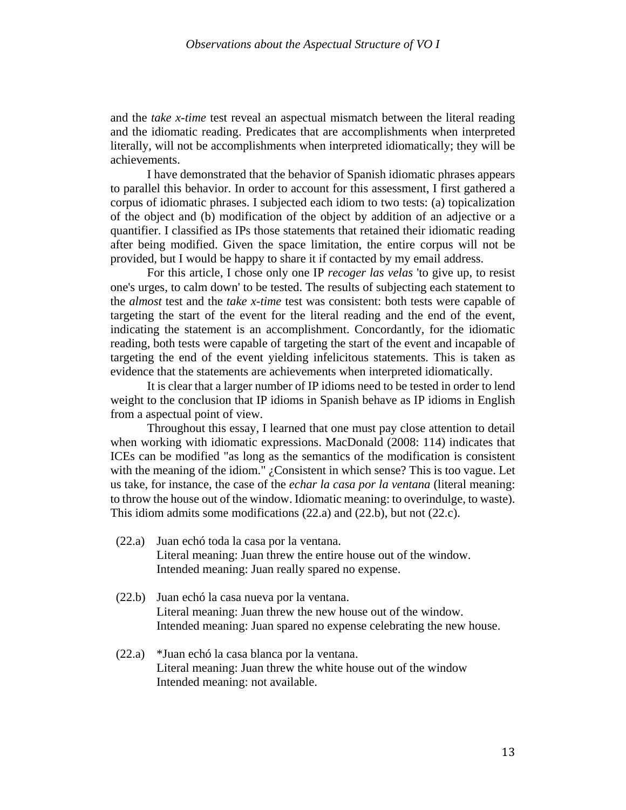and the *take x-time* test reveal an aspectual mismatch between the literal reading and the idiomatic reading. Predicates that are accomplishments when interpreted literally, will not be accomplishments when interpreted idiomatically; they will be achievements.

I have demonstrated that the behavior of Spanish idiomatic phrases appears to parallel this behavior. In order to account for this assessment, I first gathered a corpus of idiomatic phrases. I subjected each idiom to two tests: (a) topicalization of the object and (b) modification of the object by addition of an adjective or a quantifier. I classified as IPs those statements that retained their idiomatic reading after being modified. Given the space limitation, the entire corpus will not be provided, but I would be happy to share it if contacted by my email address.

For this article, I chose only one IP *recoger las velas* 'to give up, to resist one's urges, to calm down' to be tested. The results of subjecting each statement to the *almost* test and the *take x-time* test was consistent: both tests were capable of targeting the start of the event for the literal reading and the end of the event, indicating the statement is an accomplishment. Concordantly, for the idiomatic reading, both tests were capable of targeting the start of the event and incapable of targeting the end of the event yielding infelicitous statements. This is taken as evidence that the statements are achievements when interpreted idiomatically.

It is clear that a larger number of IP idioms need to be tested in order to lend weight to the conclusion that IP idioms in Spanish behave as IP idioms in English from a aspectual point of view.

Throughout this essay, I learned that one must pay close attention to detail when working with idiomatic expressions. MacDonald (2008: 114) indicates that ICEs can be modified "as long as the semantics of the modification is consistent with the meaning of the idiom." *¿Consistent in which sense?* This is too vague. Let us take, for instance, the case of the *echar la casa por la ventana* (literal meaning: to throw the house out of the window. Idiomatic meaning: to overindulge, to waste). This idiom admits some modifications (22.a) and (22.b), but not (22.c).

- (22.a) Juan echó toda la casa por la ventana. Literal meaning: Juan threw the entire house out of the window. Intended meaning: Juan really spared no expense.
- (22.b) Juan echó la casa nueva por la ventana. Literal meaning: Juan threw the new house out of the window. Intended meaning: Juan spared no expense celebrating the new house.
- (22.a) \*Juan echó la casa blanca por la ventana. Literal meaning: Juan threw the white house out of the window Intended meaning: not available.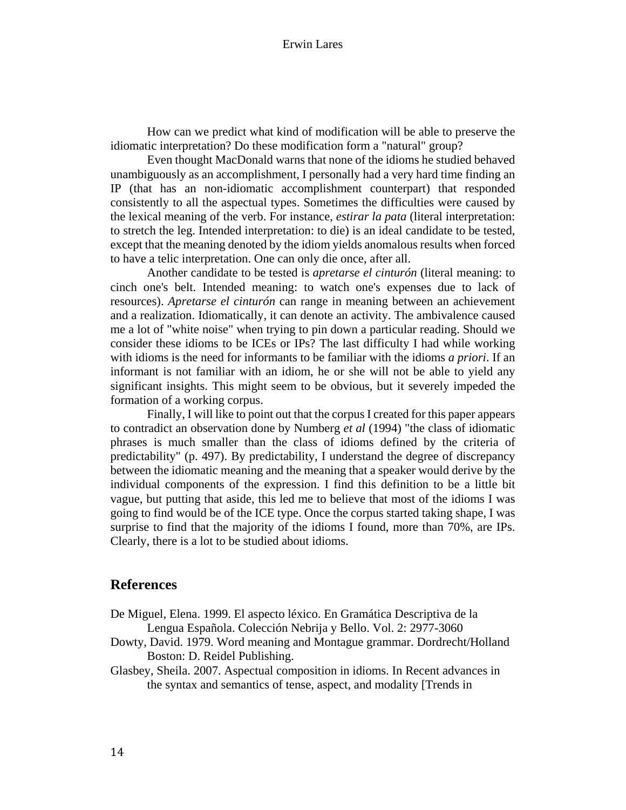#### Erwin Lares

How can we predict what kind of modification will be able to preserve the idiomatic interpretation? Do these modification form a "natural" group?

Even thought MacDonald warns that none of the idioms he studied behaved unambiguously as an accomplishment, I personally had a very hard time finding an IP (that has an non-idiomatic accomplishment counterpart) that responded consistently to all the aspectual types. Sometimes the difficulties were caused by the lexical meaning of the verb. For instance, *estirar la pata* (literal interpretation: to stretch the leg. Intended interpretation: to die) is an ideal candidate to be tested, except that the meaning denoted by the idiom yields anomalous results when forced to have a telic interpretation. One can only die once, after all.

Another candidate to be tested is *apretarse el cinturón* (literal meaning: to cinch one's belt. Intended meaning: to watch one's expenses due to lack of resources). *Apretarse el cinturón* can range in meaning between an achievement and a realization. Idiomatically, it can denote an activity. The ambivalence caused me a lot of "white noise" when trying to pin down a particular reading. Should we consider these idioms to be ICEs or IPs? The last difficulty I had while working with idioms is the need for informants to be familiar with the idioms *a priori*. If an informant is not familiar with an idiom, he or she will not be able to yield any significant insights. This might seem to be obvious, but it severely impeded the formation of a working corpus.

Finally, I will like to point out that the corpus I created for this paper appears to contradict an observation done by Numberg *et al* (1994) "the class of idiomatic phrases is much smaller than the class of idioms defined by the criteria of predictability" (p. 497). By predictability, I understand the degree of discrepancy between the idiomatic meaning and the meaning that a speaker would derive by the individual components of the expression. I find this definition to be a little bit vague, but putting that aside, this led me to believe that most of the idioms I was going to find would be of the ICE type. Once the corpus started taking shape, I was surprise to find that the majority of the idioms I found, more than 70%, are IPs. Clearly, there is a lot to be studied about idioms.

## **References**

- De Miguel, Elena. 1999. El aspecto léxico. En Gramática Descriptiva de la Lengua Española. Colección Nebrija y Bello. Vol. 2: 2977-3060
- Dowty, David. 1979. Word meaning and Montague grammar. Dordrecht/Holland Boston: D. Reidel Publishing.

Glasbey, Sheila. 2007. Aspectual composition in idioms. In Recent advances in the syntax and semantics of tense, aspect, and modality [Trends in